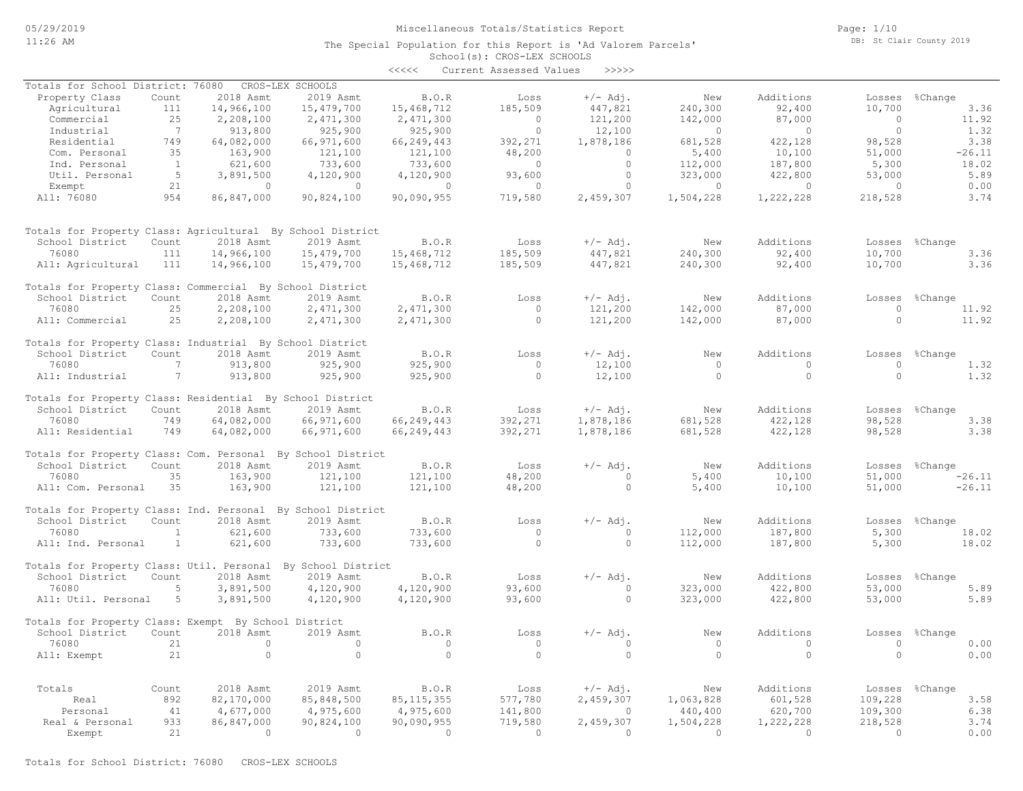School(s): CROS-LEX SCHOOLS The Special Population for this Report is 'Ad Valorem Parcels' Page: 1/10 DB: St Clair County 2019

# <<<<< Current Assessed Values >>>>> Exempt 21 0 0 0 0 0 0 0 0 0 0 0 0 0 Real & Personal 933 86,847,000 90,824,100 90,090,955 719,580 2,459,307 1,504,228 1,222,228 218,528 3.74 Personal 41 4,677,000 4,975,600 4,975,600 141,800 0 440,400 620,700 109,300 6.38 Real 892 82,170,000 85,848,500 85,115,355 577,780 2,459,307 1,063,828 601,528 109,228 3.58 Totals Count 2018 Asmt 2019 Asmt B.O.R Loss +/- Adj. New Additions Losses %Change All: Exempt 21 0 0 0 0 0 0 0 0 0.00 76080 21 0 0 0 0 0 0 0 0 0.00 School District Count 2018 Asmt 2019 Asmt B.O.R Loss +/-Adj. New Additions Losses %Change Totals for Property Class: Exempt By School District All: Util. Personal 5 3,891,500 4,120,900 4,120,900 93,600 0 323,000 422,800 53,000 5.89 76080 5 3,891,500 4,120,900 4,120,900 93,600 0 323,000 422,800 53,000 5.89 School District Count 2018 Asmt 2019 Asmt B.O.R Loss +/-Adj. New Additions Losses %Change Totals for Property Class: Util. Personal By School District All: Ind. Personal 1 621,600 733,600 733,600 0 0 112,000 187,800 5,300 18.02 76080 1 621,600 733,600 733,600 0 0 112,000 187,800 5,300 18.02 School District Count 2018 Asmt 2019 Asmt B.O.R Loss +/- Adj. New Additions Losses %Change<br>76080 16.02 1621.600 733.600 733.600 0 0 112.000 187.800 5.300 18.02 Totals for Property Class: Ind. Personal By School District All: Com. Personal 35 163,900 121,100 121,100 48,200 0 5,400 10,100 51,000 -26.11 76080 35 163,900 121,100 121,100 48,200 0 5,400 10,100 51,000 -26.11 School District Count 2018 Asmt 2019 Asmt B.O.R Loss +/- Adj. New Additions Losses %Change Totals for Property Class: Com. Personal By School District All: Residential 749 64,082,000 66,971,600 66,249,443 392,271 1,878,186 681,528 422,128 98,528 3.38 76080 749 64,082,000 66,971,600 66,249,443 392,271 1,878,186 681,528 422,128 98,528 3.38 School District Count 2018 Asmt 2019 Asmt B.O.R Loss +/- Adj. New Additions Losses %Change Totals for Property Class: Residential By School District All: Industrial 7 913,800 925,900 925,900 0 12,100 0 0 0 1.32 76080 7 913,800 925,900 925,900 0 12,100 0 0 0 1.32 School District Count 2018 Asmt 2019 Asmt B.O.R Loss +/-Adj. New Additions Losses %Change Totals for Property Class: Industrial By School District All: Commercial 25 2,208,100 2,471,300 2,471,300 0 121,200 142,000 87,000 0 11.92 76080 25 2,208,100 2,471,300 2,471,300 0 121,200 142,000 87,000 0 11.92 School District Count 2018 Asmt 2019 Asmt B.O.R Loss +/-Adj. New Additions Losses %Change Totals for Property Class: Commercial By School District All: Agricultural 111 14,966,100 15,479,700 15,468,712 185,509 447,821 240,300 92,400 10,700 3.36 76080 111 14,966,100 15,479,700 15,468,712 185,509 447,821 240,300 92,400 10,700 3.36 School District Count 2018 Asmt 2019 Asmt B.O.R Loss +/-Adj. New Additions Losses %Change Totals for Property Class: Agricultural By School District All: 76080 954 86,847,000 90,824,100 90,090,955 719,580 2,459,307 1,504,228 1,222,228 218,528 3.74 Exempt 21 0 0 0 0 0 0 0 0 0.00 Util. Personal 5 3,891,500 4,120,900 4,120,900 93,600 0 323,000 422,800 53,000 5.89 Ind. Personal 1 621,600 733,600 733,600 0 0 112,000 187,800 5,300 18.02 Com. Personal 35 163,900 121,100 121,100 48,200 0 5,400 10,100 51,000 -26.11 Residential 749 64,082,000 66,971,600 66,249,443 392,271 1,878,186 681,528 422,128 98,528 3.38 Industrial 7 913,800 925,900 925,900 0 12,100 0 0 0 1.32 Commercial 25 2,208,100 2,471,300 2,471,300 0 121,200 142,000 87,000 0 11.92 Agricultural 111 14,966,100 15,479,700 15,468,712 185,509 447,821 240,300 92,400 10,700 3.36 Property Class Count 2018 Asmt 2019 Asmt B.O.R Loss +/-Adj. New Additions Losses %Change Totals for School District: 76080 CROS-LEX SCHOOLS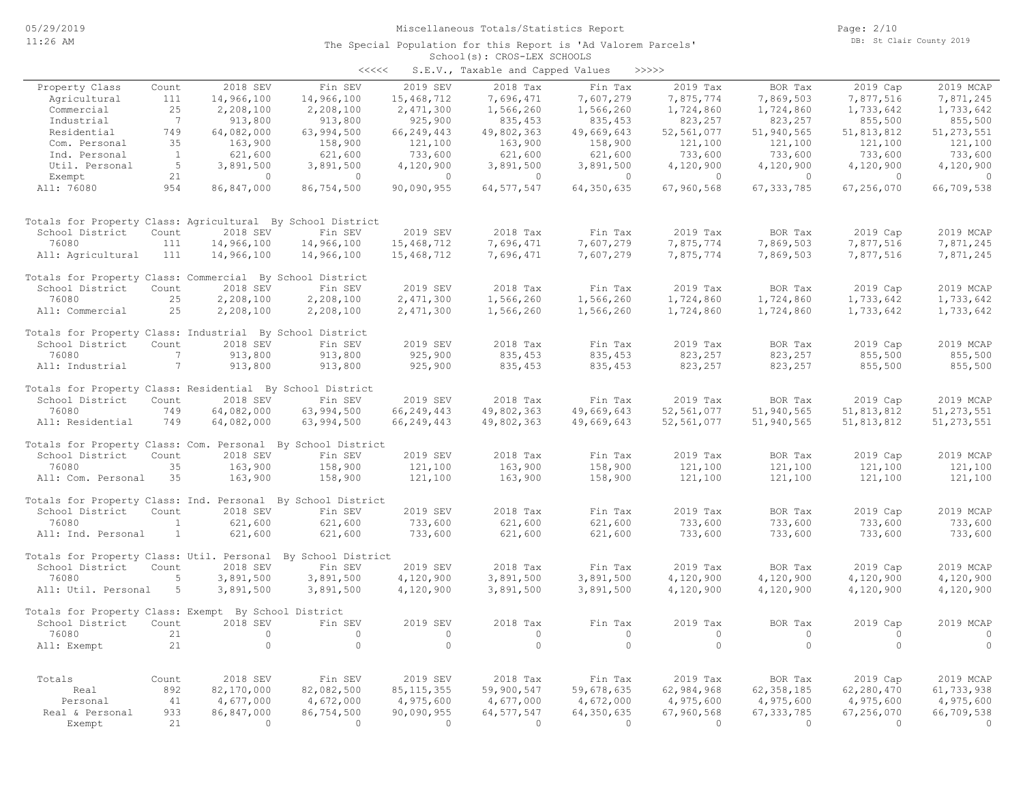| くくくくく | S.E.V., Taxable and Capped Values |  |  |  | >>>>> |
|-------|-----------------------------------|--|--|--|-------|
|-------|-----------------------------------|--|--|--|-------|

|                                                             |                              |            |                               |                | $5.2.77$ $10.0000$ |            |                |              |            |              |
|-------------------------------------------------------------|------------------------------|------------|-------------------------------|----------------|--------------------|------------|----------------|--------------|------------|--------------|
| Property Class                                              | Count                        | 2018 SEV   | Fin SEV                       | 2019 SEV       | 2018 Tax           | Fin Tax    | 2019 Tax       | BOR Tax      | 2019 Cap   | 2019 MCAP    |
| Agricultural                                                | 111                          | 14,966,100 | 14,966,100                    | 15,468,712     | 7,696,471          | 7,607,279  | 7,875,774      | 7,869,503    | 7,877,516  | 7,871,245    |
| Commercial                                                  | 25                           | 2,208,100  | 2,208,100                     | 2,471,300      | 1,566,260          | 1,566,260  | 1,724,860      | 1,724,860    | 1,733,642  | 1,733,642    |
| Industrial                                                  | $7\phantom{.0}\phantom{.0}7$ | 913,800    | 913,800                       | 925,900        | 835,453            | 835, 453   | 823,257        | 823,257      | 855,500    | 855,500      |
| Residential                                                 | 749                          | 64,082,000 | 63,994,500                    | 66,249,443     | 49,802,363         | 49,669,643 | 52,561,077     | 51,940,565   | 51,813,812 | 51, 273, 551 |
| Com. Personal                                               | 35                           | 163,900    | 158,900                       | 121,100        | 163,900            | 158,900    | 121,100        | 121,100      | 121,100    | 121,100      |
| Ind. Personal                                               | $\mathbf{1}$                 | 621,600    | 621,600                       | 733,600        | 621,600            | 621,600    | 733,600        | 733,600      | 733,600    | 733,600      |
| Util. Personal                                              | 5                            | 3,891,500  | 3,891,500                     | 4,120,900      | 3,891,500          | 3,891,500  | 4,120,900      | 4,120,900    | 4,120,900  | 4,120,900    |
| Exempt                                                      | 21                           | $\circ$    | $\circ$                       | $\circ$        | $\circ$            | $\circ$    | $\overline{0}$ | $\circ$      | $\circ$    | $\circ$      |
| All: 76080                                                  | 954                          | 86,847,000 | 86,754,500                    | 90,090,955     | 64, 577, 547       | 64,350,635 | 67,960,568     | 67, 333, 785 | 67,256,070 | 66,709,538   |
| Totals for Property Class: Agricultural By School District  |                              |            |                               |                |                    |            |                |              |            |              |
| School District                                             | Count                        | 2018 SEV   | Fin SEV                       | 2019 SEV       | 2018 Tax           | Fin Tax    | 2019 Tax       | BOR Tax      | 2019 Cap   | 2019 MCAP    |
| 76080                                                       | 111                          | 14,966,100 | 14,966,100                    | 15,468,712     | 7,696,471          | 7,607,279  | 7,875,774      | 7,869,503    | 7,877,516  | 7,871,245    |
| All: Agricultural                                           | 111                          | 14,966,100 | 14,966,100                    | 15,468,712     | 7,696,471          | 7,607,279  | 7,875,774      | 7,869,503    | 7,877,516  | 7,871,245    |
|                                                             |                              |            |                               |                |                    |            |                |              |            |              |
| Totals for Property Class: Commercial By School District    |                              |            |                               |                |                    |            |                |              |            |              |
| School District                                             | Count                        | 2018 SEV   | Fin SEV                       | 2019 SEV       | 2018 Tax           | Fin Tax    | 2019 Tax       | BOR Tax      | 2019 Cap   | 2019 MCAP    |
| 76080                                                       | 25                           | 2,208,100  | 2,208,100                     | 2,471,300      | 1,566,260          | 1,566,260  | 1,724,860      | 1,724,860    | 1,733,642  | 1,733,642    |
| All: Commercial                                             | 25                           | 2,208,100  | 2,208,100                     | 2,471,300      | 1,566,260          | 1,566,260  | 1,724,860      | 1,724,860    | 1,733,642  | 1,733,642    |
|                                                             |                              |            |                               |                |                    |            |                |              |            |              |
| Totals for Property Class: Industrial By School District    |                              |            |                               |                |                    |            |                |              |            |              |
| School District                                             | Count                        | 2018 SEV   | Fin SEV                       | 2019 SEV       | 2018 Tax           | Fin Tax    | 2019 Tax       | BOR Tax      | 2019 Cap   | 2019 MCAP    |
| 76080                                                       | 7                            | 913,800    | 913,800                       | 925,900        | 835,453            | 835,453    | 823,257        | 823,257      | 855,500    | 855,500      |
| All: Industrial                                             | $7\phantom{.0}$              | 913,800    | 913,800                       | 925,900        | 835,453            | 835,453    | 823,257        | 823,257      | 855,500    | 855,500      |
|                                                             |                              |            |                               |                |                    |            |                |              |            |              |
| Totals for Property Class: Residential By School District   |                              |            |                               |                |                    |            |                |              |            |              |
| School District                                             | Count                        | 2018 SEV   | Fin SEV                       | 2019 SEV       | 2018 Tax           | Fin Tax    | 2019 Tax       | BOR Tax      | 2019 Cap   | 2019 MCAP    |
| 76080                                                       | 749                          | 64,082,000 | 63,994,500                    | 66,249,443     | 49,802,363         | 49,669,643 | 52,561,077     | 51,940,565   | 51,813,812 | 51, 273, 551 |
| All: Residential                                            | 749                          | 64,082,000 | 63,994,500                    | 66,249,443     | 49,802,363         | 49,669,643 | 52,561,077     | 51,940,565   | 51,813,812 | 51, 273, 551 |
| Totals for Property Class: Com. Personal By School District |                              |            |                               |                |                    |            |                |              |            |              |
| School District                                             | Count                        | 2018 SEV   | Fin SEV                       | 2019 SEV       | 2018 Tax           | Fin Tax    | 2019 Tax       | BOR Tax      | 2019 Cap   | 2019 MCAP    |
| 76080                                                       | 35                           | 163,900    | 158,900                       | 121,100        | 163,900            | 158,900    | 121,100        | 121,100      | 121,100    | 121,100      |
| All: Com. Personal                                          | 35                           | 163,900    | 158,900                       | 121,100        | 163,900            | 158,900    | 121,100        | 121,100      | 121,100    | 121,100      |
|                                                             |                              |            |                               |                |                    |            |                |              |            |              |
| Totals for Property Class: Ind. Personal By School District |                              |            |                               |                |                    |            |                |              |            |              |
| School District                                             | Count                        | 2018 SEV   | Fin SEV                       | 2019 SEV       | 2018 Tax           | Fin Tax    | 2019 Tax       | BOR Tax      | 2019 Cap   | 2019 MCAP    |
| 76080                                                       | $\mathbf{1}$                 | 621,600    | 621,600                       | 733,600        | 621,600            | 621,600    | 733,600        | 733,600      | 733,600    | 733,600      |
| All: Ind. Personal                                          | 1                            | 621,600    | 621,600                       | 733,600        | 621,600            | 621,600    | 733,600        | 733,600      | 733,600    | 733,600      |
|                                                             |                              |            |                               |                |                    |            |                |              |            |              |
| Totals for Property Class: Util. Personal                   | Count                        | 2018 SEV   | By School District<br>Fin SEV | 2019 SEV       | 2018 Tax           |            | 2019 Tax       | BOR Tax      |            | 2019 MCAP    |
| School District                                             |                              |            |                               |                |                    | Fin Tax    |                |              | 2019 Cap   |              |
| 76080                                                       | 5                            | 3,891,500  | 3,891,500                     | 4,120,900      | 3,891,500          | 3,891,500  | 4,120,900      | 4,120,900    | 4,120,900  | 4,120,900    |
| All: Util. Personal                                         | 5                            | 3,891,500  | 3,891,500                     | 4,120,900      | 3,891,500          | 3,891,500  | 4,120,900      | 4,120,900    | 4,120,900  | 4,120,900    |
| Totals for Property Class: Exempt By School District        |                              |            |                               |                |                    |            |                |              |            |              |
| School District                                             | Count                        | 2018 SEV   | Fin SEV                       | 2019 SEV       | 2018 Tax           | Fin Tax    | 2019 Tax       | BOR Tax      | 2019 Cap   | 2019 MCAP    |
| 76080                                                       | 21                           | $\circ$    | $\circ$                       | $\circ$        | $\circ$            | $\circ$    | $\circ$        | $\circ$      | $\circ$    | $\circ$      |
| All: Exempt                                                 | 21                           | $\circ$    | $\circ$                       | $\circ$        | $\circ$            | $\circ$    | $\circ$        | $\circ$      | $\Omega$   | $\circ$      |
|                                                             |                              |            |                               |                |                    |            |                |              |            |              |
|                                                             |                              |            |                               |                |                    |            |                |              |            |              |
| Totals                                                      | Count                        | 2018 SEV   | Fin SEV                       | 2019 SEV       | 2018 Tax           | Fin Tax    | 2019 Tax       | BOR Tax      | 2019 Cap   | 2019 MCAP    |
| Real                                                        | 892                          | 82,170,000 | 82,082,500                    | 85, 115, 355   | 59,900,547         | 59,678,635 | 62,984,968     | 62, 358, 185 | 62,280,470 | 61,733,938   |
| Personal                                                    | 41                           | 4,677,000  | 4,672,000                     | 4,975,600      | 4,677,000          | 4,672,000  | 4,975,600      | 4,975,600    | 4,975,600  | 4,975,600    |
| Real & Personal                                             | 933                          | 86,847,000 | 86,754,500                    | 90,090,955     | 64, 577, 547       | 64,350,635 | 67,960,568     | 67, 333, 785 | 67,256,070 | 66,709,538   |
| Exempt                                                      | 21                           | $\Omega$   | $\bigcirc$                    | $\overline{0}$ | $\bigcirc$         | $\Omega$   | $\overline{0}$ | $\bigcirc$   | $\bigcirc$ | $\Omega$     |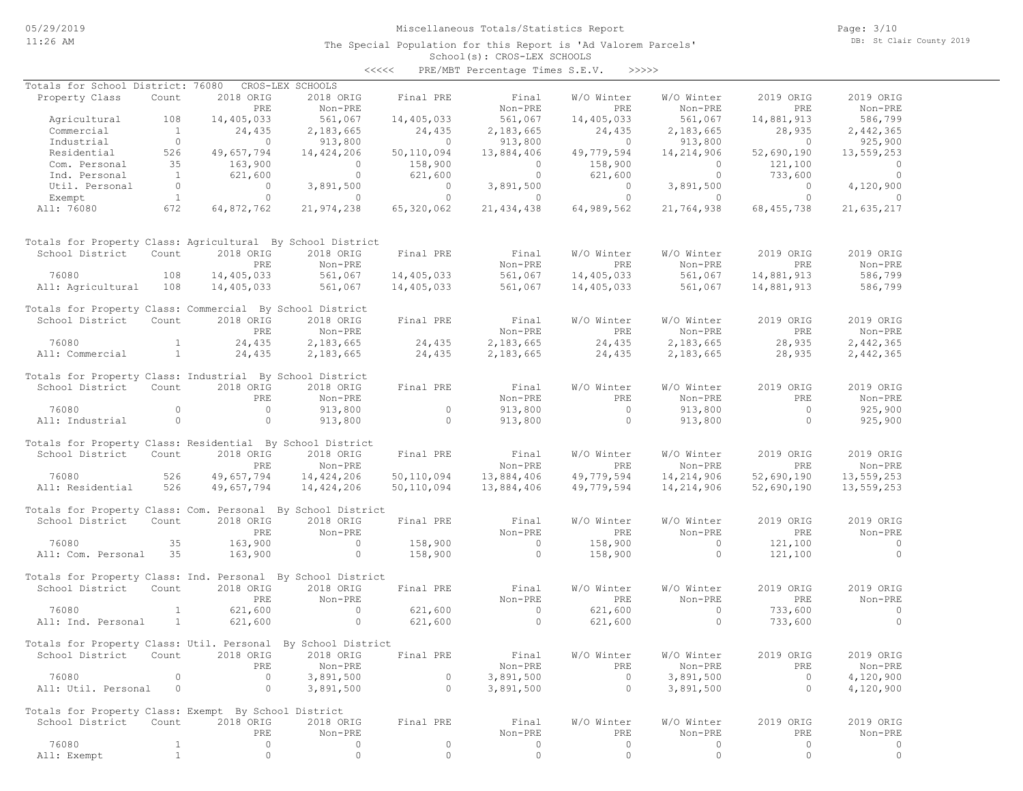The Special Population for this Report is 'Ad Valorem Parcels'

Page: 3/10 DB: St Clair County 2019

#### School(s): CROS-LEX SCHOOLS <<<<< PRE/MBT Percentage Times S.E.V. >>>>>

| Totals for School District: 76080                            |                |                | CROS-LEX SCHOOLS   |                |                |                |                |                |            |
|--------------------------------------------------------------|----------------|----------------|--------------------|----------------|----------------|----------------|----------------|----------------|------------|
| Property Class                                               | Count          | 2018 ORIG      | 2018 ORIG          | Final PRE      | Final          | W/O Winter     | W/O Winter     | 2019 ORIG      | 2019 ORIG  |
|                                                              |                | PRE            | Non-PRE            |                | Non-PRE        | PRE            | Non-PRE        | PRE            | Non-PRE    |
| Agricultural                                                 | 108            | 14,405,033     | 561,067            | 14,405,033     | 561,067        | 14,405,033     | 561,067        | 14,881,913     | 586,799    |
| Commercial                                                   | $\overline{1}$ | 24,435         | 2,183,665          | 24,435         | 2,183,665      | 24,435         | 2,183,665      | 28,935         | 2,442,365  |
| Industrial                                                   | $\overline{0}$ | $\sim$ 0       | 913,800            | $\sim$ 0       | 913,800        | $\sim$ 0       | 913,800        | $\sim$ 0       | 925,900    |
| Residential                                                  | 526            | 49,657,794     | 14,424,206         | 50,110,094     | 13,884,406     | 49,779,594     | 14,214,906     | 52,690,190     | 13,559,253 |
| Com. Personal                                                | 35             | 163,900        | $\overline{0}$     | 158,900        | $\overline{0}$ | 158,900        | $\circ$        | 121,100        | $\circ$    |
| Ind. Personal                                                | $\overline{1}$ | 621,600        | $\circ$            | 621,600        | $\overline{0}$ | 621,600        | $\circ$        | 733,600        | $\circ$    |
| Util. Personal                                               | $\overline{0}$ | $\sim$ 0       | 3,891,500          | $\overline{0}$ | 3,891,500      | $\overline{0}$ | 3,891,500      | $\overline{0}$ | 4,120,900  |
| Exempt                                                       | 1              | $\circ$        | $\circ$            | $\overline{0}$ | $\sim$ 0       | $\circ$        | $\overline{0}$ | $\circ$        | $\circ$    |
| All: 76080                                                   | 672            | 64,872,762     | 21,974,238         | 65,320,062     | 21, 434, 438   | 64,989,562     | 21,764,938     | 68, 455, 738   | 21,635,217 |
| Totals for Property Class: Agricultural By School District   |                |                |                    |                |                |                |                |                |            |
| School District                                              | Count          | 2018 ORIG      | 2018 ORIG          | Final PRE      | Final          | W/O Winter     | W/O Winter     | 2019 ORIG      | 2019 ORIG  |
|                                                              |                | PRE            | Non-PRE            |                | Non-PRE        | PRE            | Non-PRE        | PRE            | Non-PRE    |
| 76080                                                        | 108            | 14,405,033     |                    | 14,405,033     | 561,067        | 14,405,033     | 561,067        | 14,881,913     | 586,799    |
| All: Agricultural 108                                        |                | 14,405,033     | 561,067<br>561,067 | 14,405,033     | 561,067        | 14,405,033     | 561,067        | 14,881,913     | 586,799    |
|                                                              |                |                |                    |                |                |                |                |                |            |
| Totals for Property Class: Commercial By School District     |                |                |                    |                |                |                |                |                |            |
| School District                                              | Count          | 2018 ORIG      | 2018 ORIG          | Final PRE      | Final          | W/O Winter     | W/O Winter     | 2019 ORIG      | 2019 ORIG  |
|                                                              |                | PRE            | Non-PRE            |                | Non-PRE        | PRE            | Non-PRE        | PRE            | Non-PRE    |
| 76080                                                        | $\sim$ 1       | 24,435         | 2,183,665          | 24,435         | 2,183,665      | 24,435         | 2,183,665      | 28,935         | 2,442,365  |
| All: Commercial                                              | $\frac{1}{2}$  | 24,435         | 2,183,665          | 24,435         | 2,183,665      | 24,435         | 2,183,665      | 28,935         | 2,442,365  |
|                                                              |                |                |                    |                |                |                |                |                |            |
| Totals for Property Class: Industrial By School District     |                |                |                    |                |                |                |                |                |            |
| School District                                              | Count          | 2018 ORIG      | 2018 ORIG          | Final PRE      | Final          | W/O Winter     | W/O Winter     | 2019 ORIG      | 2019 ORIG  |
|                                                              |                | PRE            | Non-PRE            |                | Non-PRE        | PRE            | Non-PRE        | PRE            | Non-PRE    |
| 76080                                                        | $\circ$        | $\overline{0}$ | 913,800            | $\circ$        | 913,800        | $\overline{0}$ | 913,800        | $\overline{0}$ | 925,900    |
| All: Industrial                                              | $\overline{0}$ | $\overline{0}$ | 913,800            | $\circ$        | 913,800        | $\circ$        | 913,800        | $\circ$        | 925,900    |
|                                                              |                |                |                    |                |                |                |                |                |            |
| Totals for Property Class: Residential By School District    |                |                |                    |                |                |                |                |                |            |
| School District                                              | Count          | 2018 ORIG      | 2018 ORIG          | Final PRE      | Final          | W/O Winter     | W/O Winter     | 2019 ORIG      | 2019 ORIG  |
|                                                              |                | PRE            | Non-PRE            |                | Non-PRE        | PRE            | Non-PRE        | PRE            | Non-PRE    |
| 76080                                                        | 526            | 49,657,794     | 14,424,206         | 50,110,094     | 13,884,406     | 49,779,594     | 14,214,906     | 52,690,190     | 13,559,253 |
| All: Residential                                             | 526            | 49,657,794     | 14,424,206         | 50,110,094     | 13,884,406     | 49,779,594     | 14,214,906     | 52,690,190     | 13,559,253 |
|                                                              |                |                |                    |                |                |                |                |                |            |
| Totals for Property Class: Com. Personal By School District  |                |                |                    |                |                |                |                |                |            |
| School District Count                                        |                | 2018 ORIG      | 2018 ORIG          | Final PRE      | Final          | W/O Winter     | W/O Winter     | 2019 ORIG      | 2019 ORIG  |
|                                                              |                | PRE            | Non-PRE            |                | Non-PRE        | PRE            | Non-PRE        | PRE            | Non-PRE    |
| 76080                                                        | 35             | 163,900        | $\sim$ 0           | 158,900        | $\sim$ 0       | 158,900        | $\sim$ 0       | 121,100        | $\circ$    |
| All: Com. Personal 35                                        |                | 163,900        | $\circ$            | 158,900        | $\overline{0}$ | 158,900        | $\circ$        | 121,100        | $\circ$    |
|                                                              |                |                |                    |                |                |                |                |                |            |
| Totals for Property Class: Ind. Personal By School District  |                |                |                    |                |                |                |                |                |            |
| School District                                              | Count          | 2018 ORIG      | 2018 ORIG          | Final PRE      | Final          | W/O Winter     | W/O Winter     | 2019 ORIG      | 2019 ORIG  |
|                                                              |                | <b>PRE</b>     | Non-PRE            |                | Non-PRE        | PRE            | Non-PRE        | PRE            | Non-PRE    |
| 76080                                                        | $\mathbf{1}$   | 621,600        | $\circ$            | 621,600        | $\overline{0}$ | 621,600        | $\circ$        | 733,600        | $\circ$    |
| All: Ind. Personal                                           | $\overline{1}$ | 621,600        | $\circ$            | 621,600        | $\overline{0}$ | 621,600        | $\circ$        | 733,600        | $\Omega$   |
|                                                              |                |                |                    |                |                |                |                |                |            |
| Totals for Property Class: Util. Personal By School District |                |                |                    |                |                |                |                |                |            |
| School District                                              | Count          | 2018 ORIG      | 2018 ORIG          | Final PRE      | Final          | W/O Winter     | W/O Winter     | 2019 ORIG      | 2019 ORIG  |
|                                                              |                | PRE            | Non-PRE            |                | Non-PRE        | PRE            | Non-PRE        | PRE            | Non-PRE    |
| 76080                                                        | $\Omega$       | 0              | 3,891,500          | 0              | 3,891,500      | $\circ$        | 3,891,500      | $\circ$        | 4,120,900  |
| All: Util. Personal                                          | $\circ$        | $\circ$        | 3,891,500          | $\circ$        | 3,891,500      | $\circ$        | 3,891,500      | $\circ$        | 4,120,900  |
|                                                              |                |                |                    |                |                |                |                |                |            |
| Totals for Property Class: Exempt By School District         |                |                |                    |                |                |                |                |                |            |
| School District                                              | Count          | 2018 ORIG      | 2018 ORIG          | Final PRE      | Final          | W/O Winter     | W/O Winter     | 2019 ORIG      | 2019 ORIG  |
|                                                              |                | PRE            | Non-PRE            |                | Non-PRE        | PRE            | Non-PRE        | PRE            | Non-PRE    |
| 76080                                                        | $\mathbf 1$    | 0              | 0                  | $\circ$        | 0              | $\circ$        | $\circ$        | $\circ$        | 0          |
| All: Exempt                                                  | $\mathbf{1}$   | $\circ$        | $\circ$            | $\circ$        | $\circ$        | $\circ$        | $\circ$        | $\circ$        | $\circ$    |
|                                                              |                |                |                    |                |                |                |                |                |            |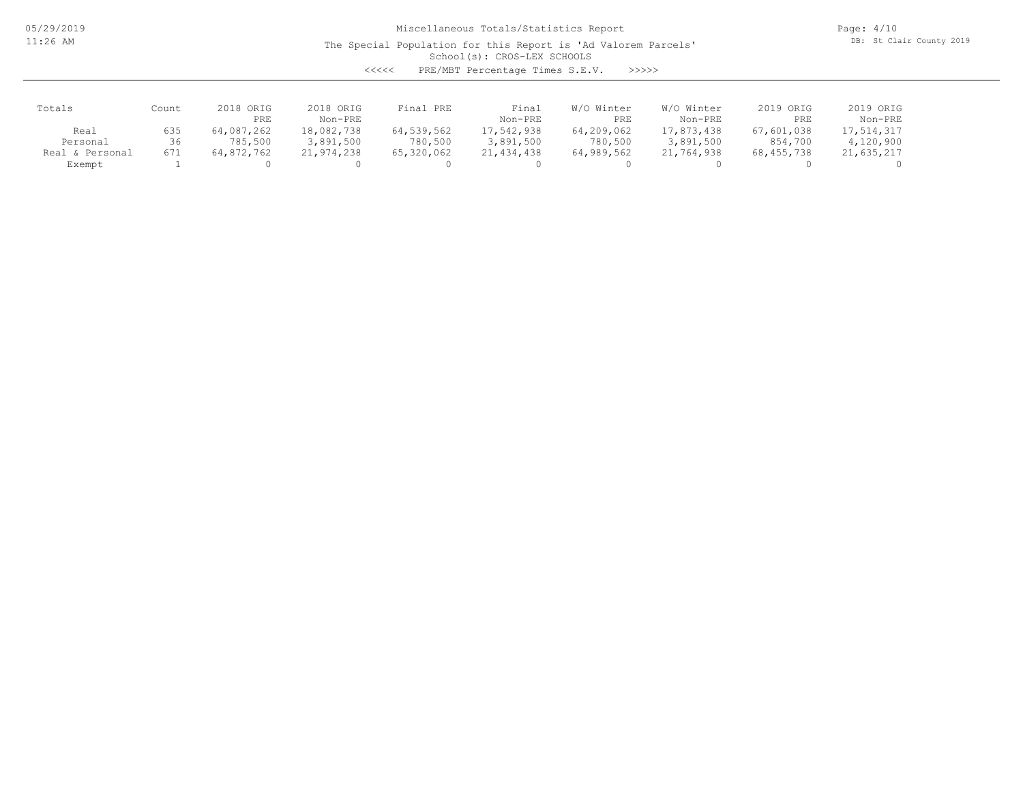The Special Population for this Report is 'Ad Valorem Parcels'

Page: 4/10 DB: St Clair County 2019

### School(s): CROS-LEX SCHOOLS

<<<<< PRE/MBT Percentage Times S.E.V. >>>>>

| Totals             | Count | 2018 ORIG<br>PRE | 2018 ORIG<br>Non-PRE | Final PRE  | Final<br>Non-PRE | W/O Winter<br>PRE | W/O Winter<br>Non-PRE | 2019 ORIG<br>PRE | 2019 ORIG<br>Non-PRE |
|--------------------|-------|------------------|----------------------|------------|------------------|-------------------|-----------------------|------------------|----------------------|
| Real               | 635   | 64,087,262       | 18,082,738           | 64,539,562 | 17,542,938       | 64,209,062        | 17,873,438            | 67,601,038       | 17,514,317           |
| Personal           | 36    | 785,500          | 3,891,500            | 780,500    | 3,891,500        | 780,500           | 3,891,500             | 854,700          | 4,120,900            |
| & Personal<br>Real | 671   | 64,872,762       | 21,974,238           | 65,320,062 | 21, 434, 438     | 64,989,562        | 21,764,938            | 68, 455, 738     | 21,635,217           |
| Exempt             |       |                  |                      |            |                  |                   |                       |                  |                      |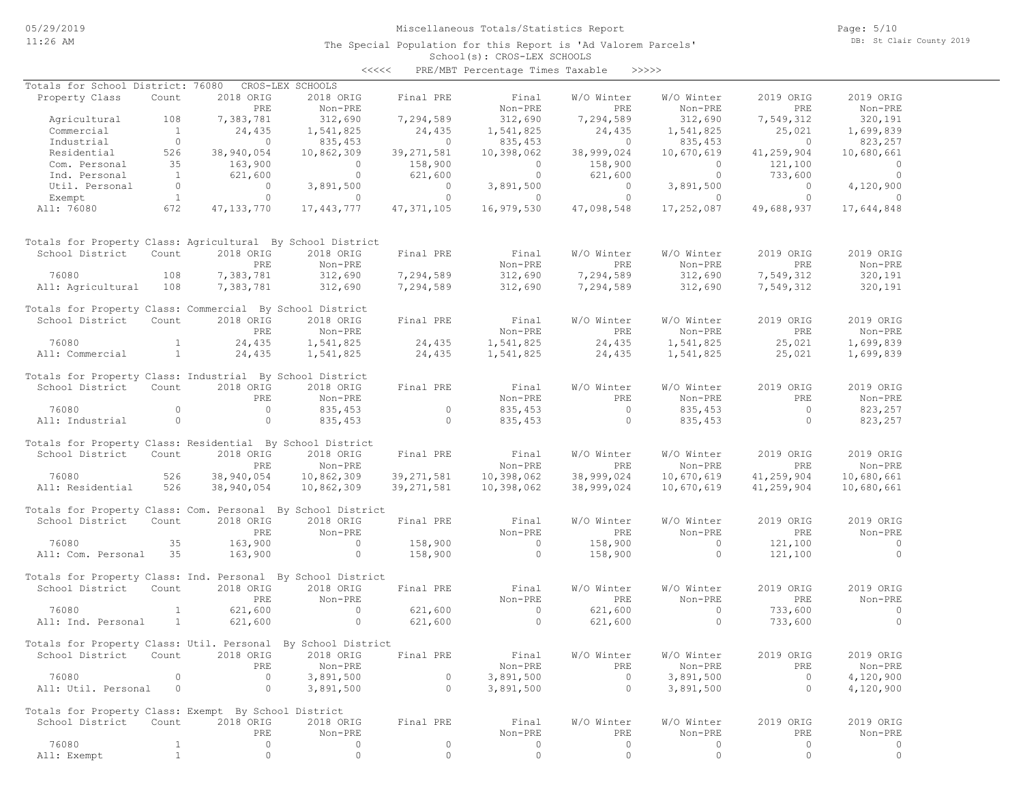The Special Population for this Report is 'Ad Valorem Parcels'

Page: 5/10 DB: St Clair County 2019

#### School(s): CROS-LEX SCHOOLS <<<<< PRE/MBT Percentage Times Taxable >>>>>

| Totals for School District: 76080                            |                |              | CROS-LEX SCHOOLS |              |                |                |                |                |                |
|--------------------------------------------------------------|----------------|--------------|------------------|--------------|----------------|----------------|----------------|----------------|----------------|
| Property Class                                               | Count          | 2018 ORIG    | 2018 ORIG        | Final PRE    | Final          | W/O Winter     | W/O Winter     | 2019 ORIG      | 2019 ORIG      |
|                                                              |                | PRE          | Non-PRE          |              | Non-PRE        | PRE            | Non-PRE        | PRE            | Non-PRE        |
| Agricultural                                                 | 108            | 7,383,781    | 312,690          | 7,294,589    | 312,690        | 7,294,589      | 312,690        | 7,549,312      | 320,191        |
| Commercial                                                   | 1              | 24,435       | 1,541,825        | 24,435       | 1,541,825      | 24,435         | 1,541,825      | 25,021         | 1,699,839      |
| Industrial                                                   | $\overline{0}$ | $\bigcirc$   | 835,453          | $\bigcirc$   | 835,453        | $\overline{0}$ | 835,453        | $\overline{0}$ | 823,257        |
| Residential                                                  | 526            | 38,940,054   | 10,862,309       | 39, 271, 581 | 10,398,062     | 38,999,024     | 10,670,619     | 41,259,904     | 10,680,661     |
| Com. Personal                                                | 35             | 163,900      | $\circ$          | 158,900      | $\overline{0}$ | 158,900        | $\circ$        | 121,100        | $\overline{0}$ |
| Ind. Personal                                                | $\overline{1}$ | 621,600      | $\overline{0}$   | 621,600      | $\overline{0}$ | 621,600        | $\overline{0}$ | 733,600        | $\overline{0}$ |
| Util. Personal                                               | $\overline{0}$ | $\circ$      | 3,891,500        | $\circ$      | 3,891,500      | $\overline{0}$ | 3,891,500      | $\overline{0}$ | 4,120,900      |
| Exempt                                                       | 1              | $\circ$      | $\circ$          | $\circ$      | $\overline{0}$ | $\circ$        | $\overline{0}$ | $\circ$        | $\overline{0}$ |
| All: 76080                                                   | 672            | 47, 133, 770 | 17,443,777       | 47,371,105   | 16,979,530     | 47,098,548     | 17,252,087     | 49,688,937     | 17,644,848     |
| Totals for Property Class: Agricultural By School District   |                |              |                  |              |                |                |                |                |                |
| School District                                              | Count          | 2018 ORIG    | 2018 ORIG        | Final PRE    | Final          | W/O Winter     | W/O Winter     | 2019 ORIG      | 2019 ORIG      |
|                                                              |                | PRE          | Non-PRE          |              | Non-PRE        | PRE            | Non-PRE        | PRE            | Non-PRE        |
| 76080                                                        | 108            | 7,383,781    | 312,690          | 7,294,589    | 312,690        | 7,294,589      | 312,690        | 7,549,312      | 320,191        |
| All: Agricultural                                            | 108            | 7,383,781    | 312,690          | 7,294,589    | 312,690        | 7,294,589      | 312,690        | 7,549,312      | 320,191        |
| Totals for Property Class: Commercial By School District     |                |              |                  |              |                |                |                |                |                |
| School District                                              | Count          | 2018 ORIG    | 2018 ORIG        | Final PRE    | Final          | W/O Winter     | W/O Winter     | 2019 ORIG      | 2019 ORIG      |
|                                                              |                | PRE          | Non-PRE          |              | Non-PRE        | PRE            | Non-PRE        | PRE            | Non-PRE        |
| 76080                                                        | $\mathbf{1}$   | 24,435       | 1,541,825        | 24,435       | 1,541,825      | 24,435         | 1,541,825      | 25,021         | 1,699,839      |
| All: Commercial                                              | 1              | 24,435       | 1,541,825        | 24,435       | 1,541,825      | 24,435         | 1,541,825      | 25,021         | 1,699,839      |
| Totals for Property Class: Industrial By School District     |                |              |                  |              |                |                |                |                |                |
| School District                                              | Count          | 2018 ORIG    | 2018 ORIG        | Final PRE    | Final          | W/O Winter     | W/O Winter     | 2019 ORIG      | 2019 ORIG      |
|                                                              |                | PRE          | Non-PRE          |              | Non-PRE        | PRE            | Non-PRE        | PRE            | Non-PRE        |
| 76080                                                        | $\circ$        | $\circ$      | 835,453          | $\circ$      | 835,453        | $\overline{0}$ | 835,453        | $\circ$        | 823,257        |
| All: Industrial                                              | $\circ$        | $\circ$      | 835,453          | $\circ$      | 835,453        | $\circ$        | 835, 453       | $\Omega$       | 823,257        |
| Totals for Property Class: Residential By School District    |                |              |                  |              |                |                |                |                |                |
| School District                                              | Count          | 2018 ORIG    | 2018 ORIG        | Final PRE    | Final          | W/O Winter     | W/O Winter     | 2019 ORIG      | 2019 ORIG      |
|                                                              |                | PRE          | Non-PRE          |              | Non-PRE        | PRE            | Non-PRE        | PRE            | Non-PRE        |
| 76080                                                        | 526            | 38,940,054   | 10,862,309       | 39,271,581   | 10,398,062     | 38,999,024     | 10,670,619     | 41,259,904     | 10,680,661     |
| All: Residential                                             | 526            | 38,940,054   | 10,862,309       | 39,271,581   | 10,398,062     | 38,999,024     | 10,670,619     | 41,259,904     | 10,680,661     |
| Totals for Property Class: Com. Personal By School District  |                |              |                  |              |                |                |                |                |                |
| School District                                              | Count          | 2018 ORIG    | 2018 ORIG        | Final PRE    | Final          | W/O Winter     | W/O Winter     | 2019 ORIG      | 2019 ORIG      |
|                                                              |                | PRE          | Non-PRE          |              | Non-PRE        | PRE            | Non-PRE        | PRE            | $Non-PRE$      |
| 76080                                                        | 35             | 163,900      | $\circ$          | 158,900      | $\sim$ 0       | 158,900        | $\Omega$       | 121,100        | $\sim$ 0       |
| All: Com. Personal 35                                        |                | 163,900      | $\circ$          | 158,900      | $\overline{0}$ | 158,900        | $\circ$        | 121,100        | $\circ$        |
|                                                              |                |              |                  |              |                |                |                |                |                |
| Totals for Property Class: Ind. Personal By School District  |                |              |                  |              |                |                |                |                |                |
| School District                                              | Count          | 2018 ORIG    | 2018 ORIG        | Final PRE    | Final          | W/O Winter     | W/O Winter     | 2019 ORIG      | 2019 ORIG      |
|                                                              |                | PRE          | Non-PRE          |              | Non-PRE        | PRE            | Non-PRE        | PRE            | Non-PRE        |
| 76080                                                        | $\mathbf{1}$   | 621,600      | $\circ$          | 621,600      | $\overline{0}$ | 621,600        | $\circ$        | 733,600        | $\overline{0}$ |
| All: Ind. Personal                                           | $\mathbf{1}$   | 621,600      | $\circ$          | 621,600      | $\overline{0}$ | 621,600        | $\Omega$       | 733,600        | $\Omega$       |
| Totals for Property Class: Util. Personal By School District |                |              |                  |              |                |                |                |                |                |
| School District Count 2018 ORIG 2018 ORIG Final PRE          |                |              |                  |              | Final          | W/O Winter     | W/O Winter     | 2019 ORIG      | 2019 ORIG      |
|                                                              |                | PRE          | Non-PRE          |              | Non-PRE        | PRE            | Non-PRE        | PRE            | Non-PRE        |
| 76080                                                        | 0              | $\circ$      | 3,891,500        | $\circ$      | 3,891,500      | $\circ$        | 3,891,500      | $\circ$        | 4,120,900      |
| All: Util. Personal                                          | $\circ$        | $\circ$      | 3,891,500        | $\circ$      | 3,891,500      | $\circ$        | 3,891,500      | $\circ$        | 4,120,900      |
| Totals for Property Class: Exempt By School District         |                |              |                  |              |                |                |                |                |                |
| School District                                              | Count          | 2018 ORIG    | 2018 ORIG        | Final PRE    | Final          | W/O Winter     | W/O Winter     | 2019 ORIG      | 2019 ORIG      |
|                                                              |                | PRE          | Non-PRE          |              | Non-PRE        | PRE            | Non-PRE        | PRE            | Non-PRE        |
| 76080                                                        | $\mathbf{1}$   | $\circ$      | 0                | $\circ$      | 0              | $\circ$        | 0              | 0              | 0              |
| All: Exempt                                                  | $\mathbf{1}$   | $\circ$      | 0                | $\circ$      | $\circ$        | $\circ$        | $\circ$        | $\circ$        | $\circ$        |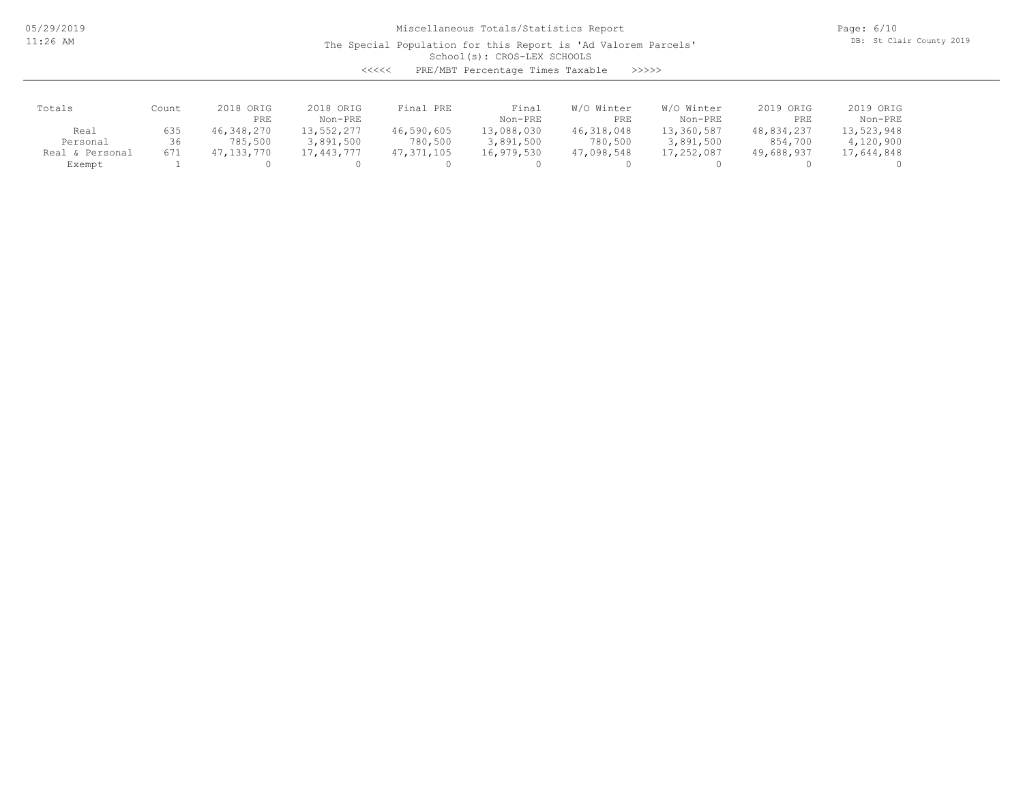The Special Population for this Report is 'Ad Valorem Parcels'

Page: 6/10 DB: St Clair County 2019

### School(s): CROS-LEX SCHOOLS

<<<<< PRE/MBT Percentage Times Taxable >>>>>

| Totals               | Count | 2018 ORIG<br>PRE | 2018 ORIG<br>Non-PRE | Final PRE    | Final<br>Non-PRE | W/O Winter<br>PRE | W/O Winter<br>Non-PRE | 2019 ORIG<br>PRE | 2019 ORIG<br>Non-PRE |
|----------------------|-------|------------------|----------------------|--------------|------------------|-------------------|-----------------------|------------------|----------------------|
| Real                 | 635   | 46,348,270       | 13,552,277           | 46,590,605   | 13,088,030       | 46,318,048        | 13,360,587            | 48,834,237       | 13,523,948           |
| Personal             | 36    | 785,500          | 3,891,500            | 780,500      | 3,891,500        | 780,500           | 3,891,500             | 854,700          | 4,120,900            |
| . & Personal<br>Real | 671   | 47,133,770       | 17,443,777           | 47, 371, 105 | 16,979,530       | 47,098,548        | 17,252,087            | 49,688,937       | 17,644,848           |
| Exempt               |       |                  |                      |              |                  |                   |                       |                  |                      |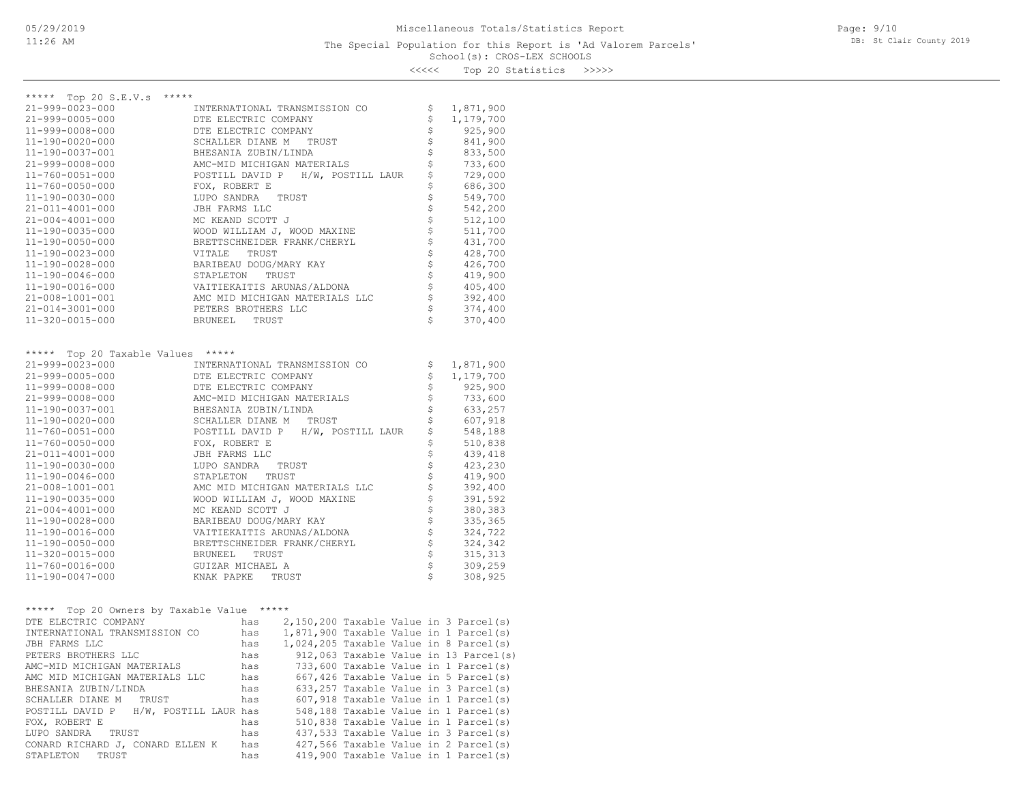Page: 9/10 DB: St Clair County 2019

<<<<< Top 20 Statistics >>>>>

| ***** Top 20 S.E.V.s<br>*****                 |                                                                 |          |                      |
|-----------------------------------------------|-----------------------------------------------------------------|----------|----------------------|
| 21-999-0023-000                               | INTERNATIONAL TRANSMISSION CO                                   | \$       | 1,871,900            |
| 21-999-0005-000                               | DTE ELECTRIC COMPANY                                            | \$       | 1,179,700            |
| 11-999-0008-000                               | DTE ELECTRIC COMPANY                                            | \$       | 925,900              |
| 11-190-0020-000                               | SCHALLER DIANE M<br>TRUST                                       | \$       | 841,900              |
| 11-190-0037-001                               | BHESANIA ZUBIN/LINDA                                            | \$<br>\$ | 833,500              |
| 21-999-0008-000<br>$11 - 760 - 0051 - 000$    | AMC-MID MICHIGAN MATERIALS<br>POSTILL DAVID P H/W, POSTILL LAUR | \$       | 733,600<br>729,000   |
| 11-760-0050-000                               | FOX, ROBERT E                                                   | \$       | 686,300              |
| 11-190-0030-000                               | LUPO SANDRA<br>TRUST                                            | \$       | 549,700              |
| 21-011-4001-000                               | JBH FARMS LLC                                                   | \$       | 542,200              |
| $21 - 004 - 4001 - 000$                       | MC KEAND SCOTT J                                                | \$       | 512,100              |
| 11-190-0035-000                               | WOOD WILLIAM J, WOOD MAXINE                                     |          | 511,700              |
| 11-190-0050-000                               | BRETTSCHNEIDER FRANK/CHERYL                                     | \$\$\$   | 431,700              |
| 11-190-0023-000                               | VITALE<br>TRUST                                                 |          | 428,700              |
| 11-190-0028-000                               | BARIBEAU DOUG/MARY KAY                                          |          | 426,700              |
| 11-190-0046-000                               | STAPLETON<br>TRUST                                              | \$       | 419,900              |
| 11-190-0016-000                               | VAITIEKAITIS ARUNAS/ALDONA                                      | \$       | 405,400              |
| 21-008-1001-001                               | AMC MID MICHIGAN MATERIALS LLC                                  | \$       | 392,400              |
| 21-014-3001-000                               | PETERS BROTHERS LLC                                             | \$       | 374,400              |
| 11-320-0015-000                               | BRUNEEL<br>TRUST                                                | Ś        | 370,400              |
|                                               |                                                                 |          |                      |
|                                               |                                                                 |          |                      |
| ***** Top 20 Taxable Values *****             |                                                                 |          |                      |
| 21-999-0023-000                               | INTERNATIONAL TRANSMISSION CO                                   | \$       | 1,871,900            |
| 21-999-0005-000<br>$11 - 999 - 0008 - 000$    | DTE ELECTRIC COMPANY                                            | \$       | 1,179,700<br>925,900 |
| $21 - 999 - 0008 - 000$                       | DTE ELECTRIC COMPANY                                            | \$<br>\$ | 733,600              |
| 11-190-0037-001                               | AMC-MID MICHIGAN MATERIALS<br>BHESANIA ZUBIN/LINDA              | \$       | 633,257              |
| 11-190-0020-000                               | SCHALLER DIANE M TRUST                                          | \$       | 607,918              |
| $11 - 760 - 0051 - 000$                       | POSTILL DAVID P H/W, POSTILL LAUR                               | \$       | 548,188              |
| 11-760-0050-000                               | FOX, ROBERT E                                                   | \$       | 510,838              |
| 21-011-4001-000                               | JBH FARMS LLC                                                   | \$       | 439,418              |
| 11-190-0030-000                               | LUPO SANDRA<br>TRUST                                            | \$       | 423,230              |
| 11-190-0046-000                               | STAPLETON TRUST                                                 | \$       | 419,900              |
| 21-008-1001-001                               | AMC MID MICHIGAN MATERIALS LLC                                  | \$       | 392,400              |
| 11-190-0035-000                               | WOOD WILLIAM J, WOOD MAXINE                                     | \$       | 391,592              |
| $21 - 004 - 4001 - 000$                       | MC KEAND SCOTT J                                                |          | 380,383              |
| 11-190-0028-000                               | BARIBEAU DOUG/MARY KAY                                          | \$\$\$   | 335,365              |
| 11-190-0016-000                               | VAITIEKAITIS ARUNAS/ALDONA                                      |          | 324,722              |
| 11-190-0050-000                               | BRETTSCHNEIDER FRANK/CHERYL                                     | \$       | 324,342              |
| 11-320-0015-000                               | BRUNEEL<br>TRUST                                                | \$       | 315, 313             |
| 11-760-0016-000                               | GUIZAR MICHAEL A                                                | \$       | 309,259              |
| 11-190-0047-000                               | KNAK PAPKE<br>TRUST                                             | Ś        | 308,925              |
|                                               |                                                                 |          |                      |
| Top 20 Owners by Taxable Value *****<br>***** |                                                                 |          |                      |
| DTE ELECTRIC COMPANY                          | $2,150,200$ Taxable Value in 3 Parcel(s)<br>has                 |          |                      |
| INTERNATIONAL TRANSMISSION CO                 | $1,871,900$ Taxable Value in 1 Parcel(s)<br>has                 |          |                      |
| <b>JBH FARMS LLC</b>                          | $1,024,205$ Taxable Value in 8 Parcel(s)<br>has                 |          |                      |
| PETERS BROTHERS LLC                           | 912,063 Taxable Value in 13 Parcel(s)<br>has                    |          |                      |
| AMC-MID MICHIGAN MATERIALS                    | 733,600 Taxable Value in 1 Parcel(s)<br>has                     |          |                      |
| AMC MID MICHIGAN MATERIALS LLC                | 667,426 Taxable Value in 5 Parcel(s)<br>has                     |          |                      |
| BHESANIA ZUBIN/LINDA                          | 633, 257 Taxable Value in 3 Parcel(s)<br>has                    |          |                      |
| SCHALLER DIANE M<br>TRUST                     | 607,918 Taxable Value in 1 Parcel(s)<br>has                     |          |                      |
| POSTILL DAVID P                               | 548,188 Taxable Value in 1 Parcel(s)<br>H/W, POSTILL LAUR has   |          |                      |
| FOX, ROBERT E                                 | 510,838 Taxable Value in 1 Parcel(s)<br>has                     |          |                      |
| LUPO SANDRA<br>TRUST                          | 437,533 Taxable Value in 3 Parcel(s)<br>has                     |          |                      |
| CONARD RICHARD J, CONARD ELLEN K              | 427,566 Taxable Value in 2 Parcel(s)<br>has                     |          |                      |
| STAPLETON<br>TRUST                            | 419,900 Taxable Value in 1 Parcel(s)<br>has                     |          |                      |